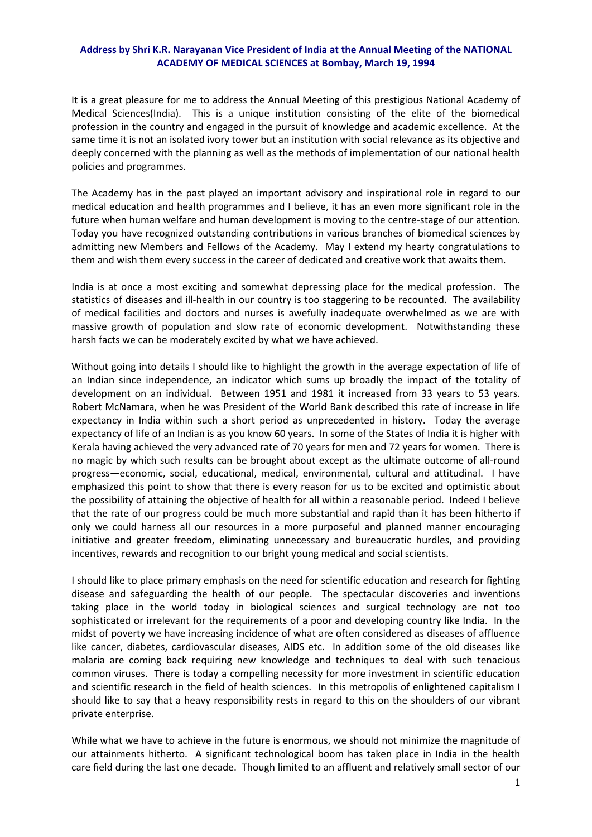## **Address by Shri K.R. Narayanan Vice President of India at the Annual Meeting of the NATIONAL ACADEMY OF MEDICAL SCIENCES at Bombay, March 19, 1994**

It is a great pleasure for me to address the Annual Meeting of this prestigious National Academy of Medical Sciences(India). This is a unique institution consisting of the elite of the biomedical profession in the country and engaged in the pursuit of knowledge and academic excellence. At the same time it is not an isolated ivory tower but an institution with social relevance as its objective and deeply concerned with the planning as well as the methods of implementation of our national health policies and programmes.

The Academy has in the past played an important advisory and inspirational role in regard to our medical education and health programmes and I believe, it has an even more significant role in the future when human welfare and human development is moving to the centre‐stage of our attention. Today you have recognized outstanding contributions in various branches of biomedical sciences by admitting new Members and Fellows of the Academy. May I extend my hearty congratulations to them and wish them every success in the career of dedicated and creative work that awaits them.

India is at once a most exciting and somewhat depressing place for the medical profession. The statistics of diseases and ill-health in our country is too staggering to be recounted. The availability of medical facilities and doctors and nurses is awefully inadequate overwhelmed as we are with massive growth of population and slow rate of economic development. Notwithstanding these harsh facts we can be moderately excited by what we have achieved.

Without going into details I should like to highlight the growth in the average expectation of life of an Indian since independence, an indicator which sums up broadly the impact of the totality of development on an individual. Between 1951 and 1981 it increased from 33 years to 53 years. Robert McNamara, when he was President of the World Bank described this rate of increase in life expectancy in India within such a short period as unprecedented in history. Today the average expectancy of life of an Indian is as you know 60 years. In some of the States of India it is higher with Kerala having achieved the very advanced rate of 70 years for men and 72 years for women. There is no magic by which such results can be brought about except as the ultimate outcome of all-round progress—economic, social, educational, medical, environmental, cultural and attitudinal. I have emphasized this point to show that there is every reason for us to be excited and optimistic about the possibility of attaining the objective of health for all within a reasonable period. Indeed I believe that the rate of our progress could be much more substantial and rapid than it has been hitherto if only we could harness all our resources in a more purposeful and planned manner encouraging initiative and greater freedom, eliminating unnecessary and bureaucratic hurdles, and providing incentives, rewards and recognition to our bright young medical and social scientists.

I should like to place primary emphasis on the need for scientific education and research for fighting disease and safeguarding the health of our people. The spectacular discoveries and inventions taking place in the world today in biological sciences and surgical technology are not too sophisticated or irrelevant for the requirements of a poor and developing country like India. In the midst of poverty we have increasing incidence of what are often considered as diseases of affluence like cancer, diabetes, cardiovascular diseases, AIDS etc. In addition some of the old diseases like malaria are coming back requiring new knowledge and techniques to deal with such tenacious common viruses. There is today a compelling necessity for more investment in scientific education and scientific research in the field of health sciences. In this metropolis of enlightened capitalism I should like to say that a heavy responsibility rests in regard to this on the shoulders of our vibrant private enterprise.

While what we have to achieve in the future is enormous, we should not minimize the magnitude of our attainments hitherto. A significant technological boom has taken place in India in the health care field during the last one decade. Though limited to an affluent and relatively small sector of our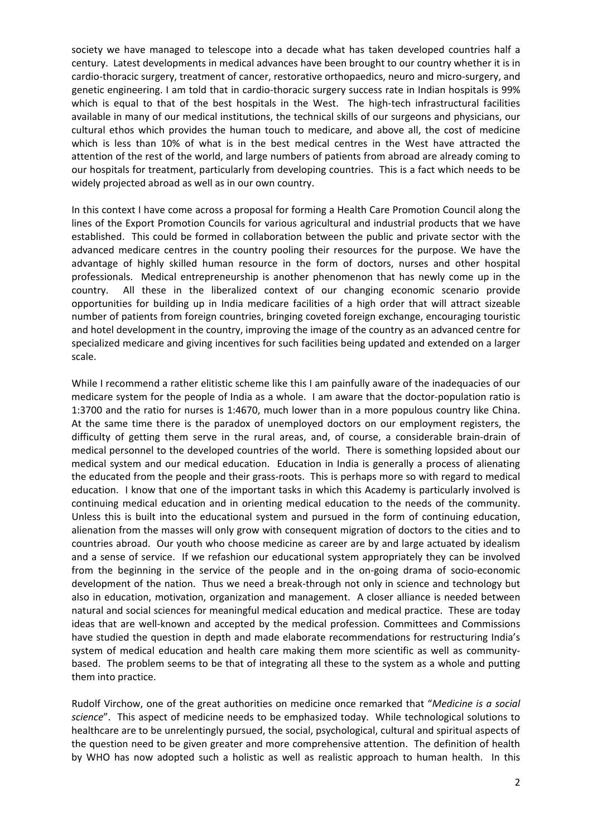society we have managed to telescope into a decade what has taken developed countries half a century. Latest developments in medical advances have been brought to our country whether it is in cardio-thoracic surgery, treatment of cancer, restorative orthopaedics, neuro and micro-surgery, and genetic engineering. I am told that in cardio-thoracic surgery success rate in Indian hospitals is 99% which is equal to that of the best hospitals in the West. The high-tech infrastructural facilities available in many of our medical institutions, the technical skills of our surgeons and physicians, our cultural ethos which provides the human touch to medicare, and above all, the cost of medicine which is less than 10% of what is in the best medical centres in the West have attracted the attention of the rest of the world, and large numbers of patients from abroad are already coming to our hospitals for treatment, particularly from developing countries. This is a fact which needs to be widely projected abroad as well as in our own country.

In this context I have come across a proposal for forming a Health Care Promotion Council along the lines of the Export Promotion Councils for various agricultural and industrial products that we have established. This could be formed in collaboration between the public and private sector with the advanced medicare centres in the country pooling their resources for the purpose. We have the advantage of highly skilled human resource in the form of doctors, nurses and other hospital professionals. Medical entrepreneurship is another phenomenon that has newly come up in the country. All these in the liberalized context of our changing economic scenario provide opportunities for building up in India medicare facilities of a high order that will attract sizeable number of patients from foreign countries, bringing coveted foreign exchange, encouraging touristic and hotel development in the country, improving the image of the country as an advanced centre for specialized medicare and giving incentives for such facilities being updated and extended on a larger scale.

While I recommend a rather elitistic scheme like this I am painfully aware of the inadequacies of our medicare system for the people of India as a whole. I am aware that the doctor‐population ratio is 1:3700 and the ratio for nurses is 1:4670, much lower than in a more populous country like China. At the same time there is the paradox of unemployed doctors on our employment registers, the difficulty of getting them serve in the rural areas, and, of course, a considerable brain‐drain of medical personnel to the developed countries of the world. There is something lopsided about our medical system and our medical education. Education in India is generally a process of alienating the educated from the people and their grass‐roots. This is perhaps more so with regard to medical education. I know that one of the important tasks in which this Academy is particularly involved is continuing medical education and in orienting medical education to the needs of the community. Unless this is built into the educational system and pursued in the form of continuing education, alienation from the masses will only grow with consequent migration of doctors to the cities and to countries abroad. Our youth who choose medicine as career are by and large actuated by idealism and a sense of service. If we refashion our educational system appropriately they can be involved from the beginning in the service of the people and in the on-going drama of socio-economic development of the nation. Thus we need a break‐through not only in science and technology but also in education, motivation, organization and management. A closer alliance is needed between natural and social sciences for meaningful medical education and medical practice. These are today ideas that are well‐known and accepted by the medical profession. Committees and Commissions have studied the question in depth and made elaborate recommendations for restructuring India's system of medical education and health care making them more scientific as well as communitybased. The problem seems to be that of integrating all these to the system as a whole and putting them into practice.

Rudolf Virchow, one of the great authorities on medicine once remarked that "*Medicine is a social science*". This aspect of medicine needs to be emphasized today. While technological solutions to healthcare are to be unrelentingly pursued, the social, psychological, cultural and spiritual aspects of the question need to be given greater and more comprehensive attention. The definition of health by WHO has now adopted such a holistic as well as realistic approach to human health. In this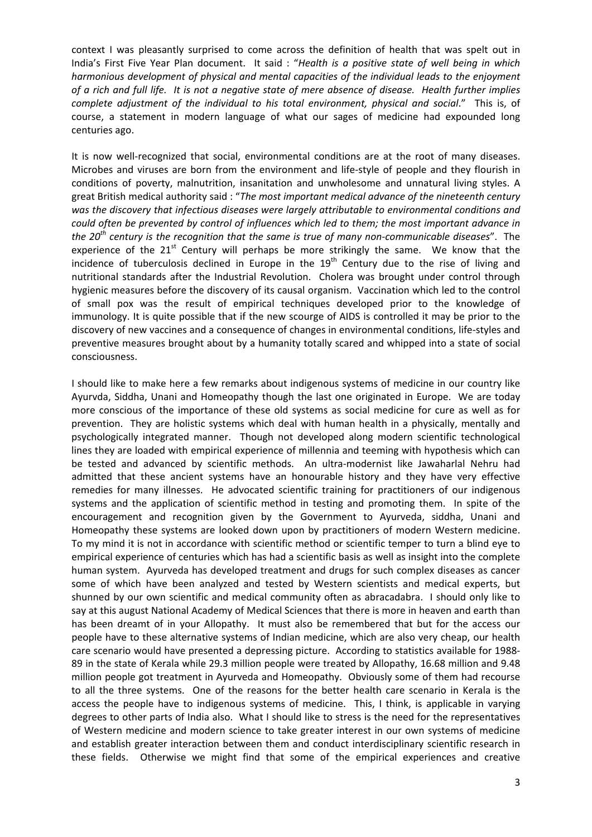context I was pleasantly surprised to come across the definition of health that was spelt out in India's First Five Year Plan document. It said : "*Health is a positive state of well being in which harmonious development of physical and mental capacities of the individual leads to the enjoyment* of a rich and full life. It is not a negative state of mere absence of disease. Health further implies *complete adjustment of the individual to his total environment, physical and social*." This is, of course, a statement in modern language of what our sages of medicine had expounded long centuries ago.

It is now well-recognized that social, environmental conditions are at the root of many diseases. Microbes and viruses are born from the environment and life‐style of people and they flourish in conditions of poverty, malnutrition, insanitation and unwholesome and unnatural living styles. A great British medical authority said : "*The most important medical advance of the nineteenth century was the discovery that infectious diseases were largely attributable to environmental conditions and could often be prevented by control of influences which led to them; the most important advance in the 20th century is the recognition that the same is true of many non‐communicable diseases*". The experience of the  $21^{st}$  Century will perhaps be more strikingly the same. We know that the incidence of tuberculosis declined in Europe in the  $19<sup>th</sup>$  Century due to the rise of living and nutritional standards after the Industrial Revolution. Cholera was brought under control through hygienic measures before the discovery of its causal organism. Vaccination which led to the control of small pox was the result of empirical techniques developed prior to the knowledge of immunology. It is quite possible that if the new scourge of AIDS is controlled it may be prior to the discovery of new vaccines and a consequence of changes in environmental conditions, life‐styles and preventive measures brought about by a humanity totally scared and whipped into a state of social consciousness.

I should like to make here a few remarks about indigenous systems of medicine in our country like Ayurvda, Siddha, Unani and Homeopathy though the last one originated in Europe. We are today more conscious of the importance of these old systems as social medicine for cure as well as for prevention. They are holistic systems which deal with human health in a physically, mentally and psychologically integrated manner. Though not developed along modern scientific technological lines they are loaded with empirical experience of millennia and teeming with hypothesis which can be tested and advanced by scientific methods. An ultra-modernist like Jawaharlal Nehru had admitted that these ancient systems have an honourable history and they have very effective remedies for many illnesses. He advocated scientific training for practitioners of our indigenous systems and the application of scientific method in testing and promoting them. In spite of the encouragement and recognition given by the Government to Ayurveda, siddha, Unani and Homeopathy these systems are looked down upon by practitioners of modern Western medicine. To my mind it is not in accordance with scientific method or scientific temper to turn a blind eye to empirical experience of centuries which has had a scientific basis as well as insight into the complete human system. Ayurveda has developed treatment and drugs for such complex diseases as cancer some of which have been analyzed and tested by Western scientists and medical experts, but shunned by our own scientific and medical community often as abracadabra. I should only like to say at this august National Academy of Medical Sciences that there is more in heaven and earth than has been dreamt of in your Allopathy. It must also be remembered that but for the access our people have to these alternative systems of Indian medicine, which are also very cheap, our health care scenario would have presented a depressing picture. According to statistics available for 1988‐ 89 in the state of Kerala while 29.3 million people were treated by Allopathy, 16.68 million and 9.48 million people got treatment in Ayurveda and Homeopathy. Obviously some of them had recourse to all the three systems. One of the reasons for the better health care scenario in Kerala is the access the people have to indigenous systems of medicine. This, I think, is applicable in varying degrees to other parts of India also. What I should like to stress is the need for the representatives of Western medicine and modern science to take greater interest in our own systems of medicine and establish greater interaction between them and conduct interdisciplinary scientific research in these fields. Otherwise we might find that some of the empirical experiences and creative